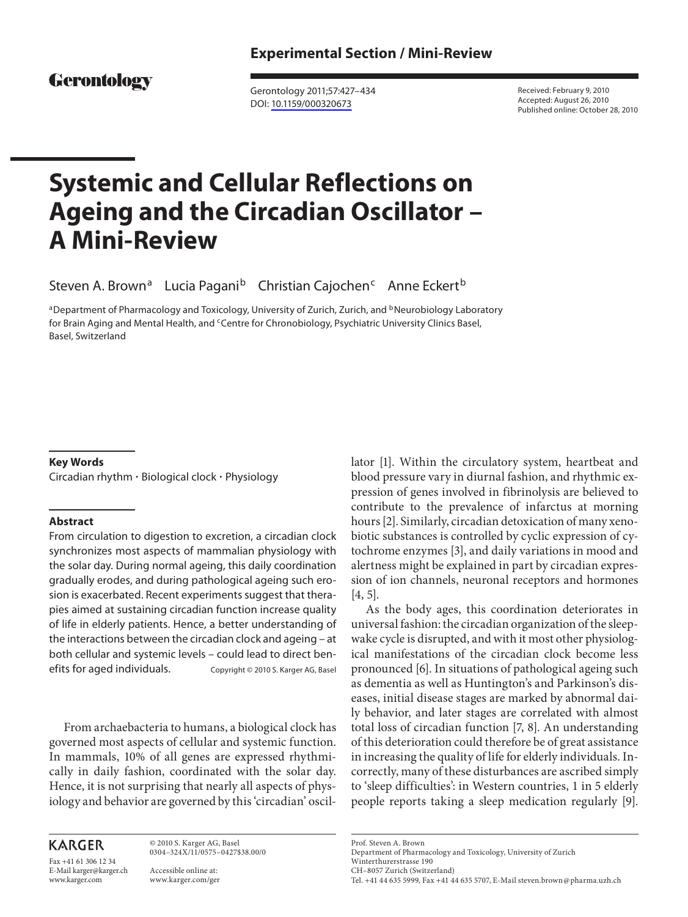Gerontology

 Gerontology 2011;57:427–434 DOI: [10.1159/000320673](http://dx.doi.org/10.1159%2F000320673)

 Received: February 9, 2010 Accepted: August 26, 2010 Published online: October 28, 2010

# **Systemic and Cellular Reflections on Ageing and the Circadian Oscillator – A Mini-Review**

Steven A. Brown<sup>a</sup> Lucia Pagani<sup>b</sup> Christian Cajochen<sup>c</sup> Anne Eckert<sup>b</sup>

a Department of Pharmacology and Toxicology, University of Zurich, Zurich, and <sup>b</sup> Neurobiology Laboratory for Brain Aging and Mental Health, and <sup>c</sup> Centre for Chronobiology, Psychiatric University Clinics Basel, Basel, Switzerland

#### **Key Words**

Circadian rhythm - Biological clock - Physiology

#### **Abstract**

 From circulation to digestion to excretion, a circadian clock synchronizes most aspects of mammalian physiology with the solar day. During normal ageing, this daily coordination gradually erodes, and during pathological ageing such erosion is exacerbated. Recent experiments suggest that therapies aimed at sustaining circadian function increase quality of life in elderly patients. Hence, a better understanding of the interactions between the circadian clock and ageing – at both cellular and systemic levels – could lead to direct benefits for aged individuals. Copyright © 2010 S. Karger AG, Basel

 From archaebacteria to humans, a biological clock has governed most aspects of cellular and systemic function. In mammals, 10% of all genes are expressed rhythmically in daily fashion, coordinated with the solar day. Hence, it is not surprising that nearly all aspects of physiology and behavior are governed by this 'circadian' oscil-

# **KARGER**

Fax +41 61 306 12 34 E-Mail karger@karger.ch www.karger.com

 © 2010 S. Karger AG, Basel 0304–324X/11/0575–0427\$38.00/0

 Accessible online at: www.karger.com/ger lator [1]. Within the circulatory system, heartbeat and blood pressure vary in diurnal fashion, and rhythmic expression of genes involved in fibrinolysis are believed to contribute to the prevalence of infarctus at morning hours [2]. Similarly, circadian detoxication of many xenobiotic substances is controlled by cyclic expression of cytochrome enzymes [3], and daily variations in mood and alertness might be explained in part by circadian expression of ion channels, neuronal receptors and hormones  $[4, 5]$ .

 As the body ages, this coordination deteriorates in universal fashion: the circadian organization of the sleepwake cycle is disrupted, and with it most other physiological manifestations of the circadian clock become less pronounced [6]. In situations of pathological ageing such as dementia as well as Huntington's and Parkinson's diseases, initial disease stages are marked by abnormal daily behavior, and later stages are correlated with almost total loss of circadian function [7, 8]. An understanding of this deterioration could therefore be of great assistance in increasing the quality of life for elderly individuals. Incorrectly, many of these disturbances are ascribed simply to 'sleep difficulties': in Western countries, 1 in 5 elderly people reports taking a sleep medication regularly [9].

 Prof. Steven A. Brown Department of Pharmacology and Toxicology, University of Zurich Winterthurerstrasse 190 CH–8057 Zurich (Switzerland) Tel. +41 44 635 5999, Fax +41 44 635 5707, E-Mail steven.brown @ pharma.uzh.ch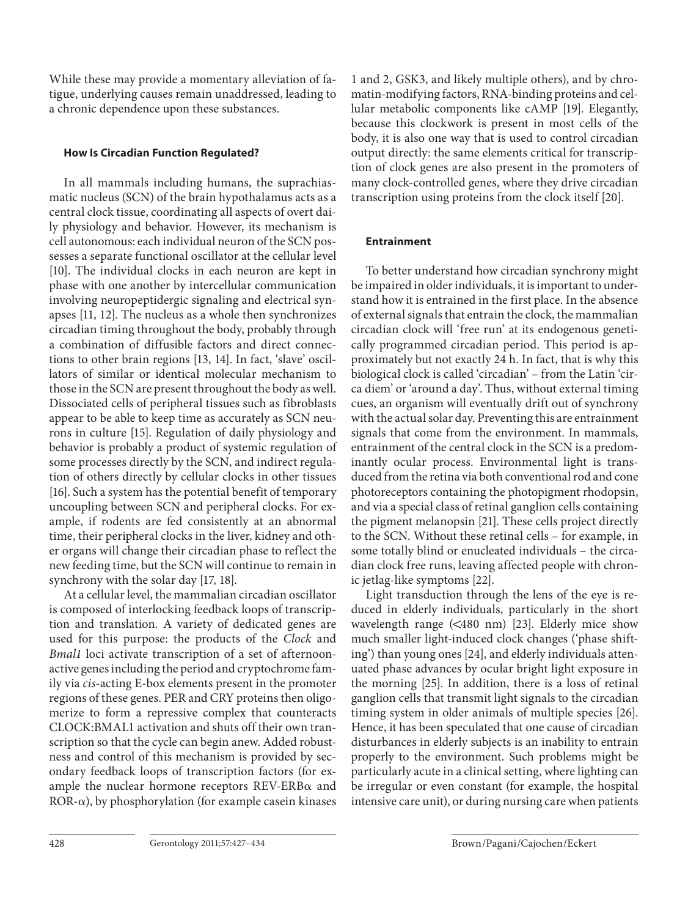While these may provide a momentary alleviation of fatigue, underlying causes remain unaddressed, leading to a chronic dependence upon these substances.

## **How Is Circadian Function Regulated?**

 In all mammals including humans, the suprachiasmatic nucleus (SCN) of the brain hypothalamus acts as a central clock tissue, coordinating all aspects of overt daily physiology and behavior. However, its mechanism is cell autonomous: each individual neuron of the SCN possesses a separate functional oscillator at the cellular level [10]. The individual clocks in each neuron are kept in phase with one another by intercellular communication involving neuropeptidergic signaling and electrical synapses [11, 12]. The nucleus as a whole then synchronizes circadian timing throughout the body, probably through a combination of diffusible factors and direct connections to other brain regions [13, 14]. In fact, 'slave' oscillators of similar or identical molecular mechanism to those in the SCN are present throughout the body as well. Dissociated cells of peripheral tissues such as fibroblasts appear to be able to keep time as accurately as SCN neurons in culture [15]. Regulation of daily physiology and behavior is probably a product of systemic regulation of some processes directly by the SCN, and indirect regulation of others directly by cellular clocks in other tissues [16]. Such a system has the potential benefit of temporary uncoupling between SCN and peripheral clocks. For example, if rodents are fed consistently at an abnormal time, their peripheral clocks in the liver, kidney and other organs will change their circadian phase to reflect the new feeding time, but the SCN will continue to remain in synchrony with the solar day [17, 18].

 At a cellular level, the mammalian circadian oscillator is composed of interlocking feedback loops of transcription and translation. A variety of dedicated genes are used for this purpose: the products of the *Clock* and *Bmal1* loci activate transcription of a set of afternoonactive genes including the period and cryptochrome family via *cis* -acting E-box elements present in the promoter regions of these genes. PER and CRY proteins then oligomerize to form a repressive complex that counteracts CLOCK:BMAL1 activation and shuts off their own transcription so that the cycle can begin anew. Added robustness and control of this mechanism is provided by secondary feedback loops of transcription factors (for example the nuclear hormone receptors  $REV$ -ERB $\alpha$  and  $ROR-\alpha$ ), by phosphorylation (for example casein kinases 1 and 2, GSK3, and likely multiple others), and by chromatin-modifying factors, RNA-binding proteins and cellular metabolic components like cAMP [19]. Elegantly, because this clockwork is present in most cells of the body, it is also one way that is used to control circadian output directly: the same elements critical for transcription of clock genes are also present in the promoters of many clock-controlled genes, where they drive circadian transcription using proteins from the clock itself [20] .

## **Entrainment**

 To better understand how circadian synchrony might be impaired in older individuals, it is important to understand how it is entrained in the first place. In the absence of external signals that entrain the clock, the mammalian circadian clock will 'free run' at its endogenous genetically programmed circadian period. This period is approximately but not exactly 24 h. In fact, that is why this biological clock is called 'circadian' – from the Latin 'circa diem' or 'around a day'. Thus, without external timing cues, an organism will eventually drift out of synchrony with the actual solar day. Preventing this are entrainment signals that come from the environment. In mammals, entrainment of the central clock in the SCN is a predominantly ocular process. Environmental light is transduced from the retina via both conventional rod and cone photoreceptors containing the photopigment rhodopsin, and via a special class of retinal ganglion cells containing the pigment melanopsin [21]. These cells project directly to the SCN. Without these retinal cells – for example, in some totally blind or enucleated individuals – the circadian clock free runs, leaving affected people with chronic jetlag-like symptoms [22] .

 Light transduction through the lens of the eye is reduced in elderly individuals, particularly in the short wavelength range  $(<$  480 nm) [23]. Elderly mice show much smaller light-induced clock changes ('phase shifting') than young ones [24], and elderly individuals attenuated phase advances by ocular bright light exposure in the morning [25]. In addition, there is a loss of retinal ganglion cells that transmit light signals to the circadian timing system in older animals of multiple species [26] . Hence, it has been speculated that one cause of circadian disturbances in elderly subjects is an inability to entrain properly to the environment. Such problems might be particularly acute in a clinical setting, where lighting can be irregular or even constant (for example, the hospital intensive care unit), or during nursing care when patients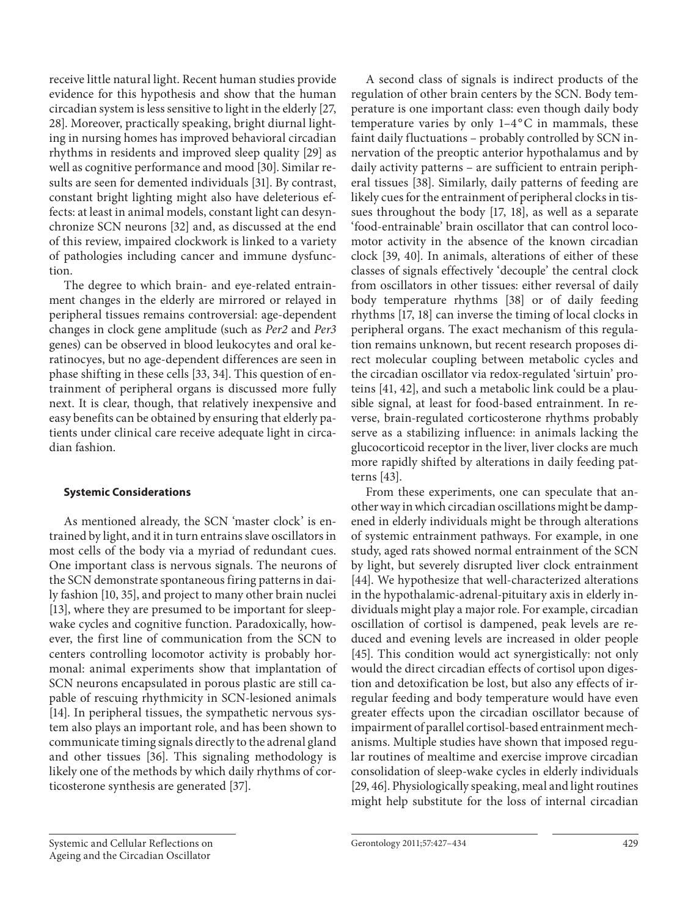receive little natural light. Recent human studies provide evidence for this hypothesis and show that the human circadian system is less sensitive to light in the elderly [27, 28]. Moreover, practically speaking, bright diurnal lighting in nursing homes has improved behavioral circadian rhythms in residents and improved sleep quality [29] as well as cognitive performance and mood [30]. Similar results are seen for demented individuals [31]. By contrast, constant bright lighting might also have deleterious effects: at least in animal models, constant light can desynchronize SCN neurons [32] and, as discussed at the end of this review, impaired clockwork is linked to a variety of pathologies including cancer and immune dysfunction.

 The degree to which brain- and eye-related entrainment changes in the elderly are mirrored or relayed in peripheral tissues remains controversial: age-dependent changes in clock gene amplitude (such as *Per2* and *Per3* genes) can be observed in blood leukocytes and oral keratinocyes, but no age-dependent differences are seen in phase shifting in these cells [33, 34]. This question of entrainment of peripheral organs is discussed more fully next. It is clear, though, that relatively inexpensive and easy benefits can be obtained by ensuring that elderly patients under clinical care receive adequate light in circadian fashion.

## **Systemic Considerations**

 As mentioned already, the SCN 'master clock' is entrained by light, and it in turn entrains slave oscillators in most cells of the body via a myriad of redundant cues. One important class is nervous signals. The neurons of the SCN demonstrate spontaneous firing patterns in daily fashion [10, 35], and project to many other brain nuclei [13], where they are presumed to be important for sleepwake cycles and cognitive function. Paradoxically, however, the first line of communication from the SCN to centers controlling locomotor activity is probably hormonal: animal experiments show that implantation of SCN neurons encapsulated in porous plastic are still capable of rescuing rhythmicity in SCN-lesioned animals [14]. In peripheral tissues, the sympathetic nervous system also plays an important role, and has been shown to communicate timing signals directly to the adrenal gland and other tissues [36]. This signaling methodology is likely one of the methods by which daily rhythms of corticosterone synthesis are generated [37] .

# A second class of signals is indirect products of the regulation of other brain centers by the SCN. Body temperature is one important class: even though daily body temperature varies by only  $1-4\degree C$  in mammals, these faint daily fluctuations – probably controlled by SCN innervation of the preoptic anterior hypothalamus and by daily activity patterns – are sufficient to entrain peripheral tissues [38]. Similarly, daily patterns of feeding are likely cues for the entrainment of peripheral clocks in tissues throughout the body [17, 18], as well as a separate 'food-entrainable' brain oscillator that can control locomotor activity in the absence of the known circadian clock [39, 40]. In animals, alterations of either of these classes of signals effectively 'decouple' the central clock from oscillators in other tissues: either reversal of daily body temperature rhythms [38] or of daily feeding rhythms [17, 18] can inverse the timing of local clocks in peripheral organs. The exact mechanism of this regulation remains unknown, but recent research proposes direct molecular coupling between metabolic cycles and the circadian oscillator via redox-regulated 'sirtuin' proteins [41, 42], and such a metabolic link could be a plausible signal, at least for food-based entrainment. In reverse, brain-regulated corticosterone rhythms probably serve as a stabilizing influence: in animals lacking the glucocorticoid receptor in the liver, liver clocks are much more rapidly shifted by alterations in daily feeding patterns [43].

 From these experiments, one can speculate that another way in which circadian oscillations might be dampened in elderly individuals might be through alterations of systemic entrainment pathways. For example, in one study, aged rats showed normal entrainment of the SCN by light, but severely disrupted liver clock entrainment [44]. We hypothesize that well-characterized alterations in the hypothalamic-adrenal-pituitary axis in elderly individuals might play a major role. For example, circadian oscillation of cortisol is dampened, peak levels are reduced and evening levels are increased in older people [45]. This condition would act synergistically: not only would the direct circadian effects of cortisol upon digestion and detoxification be lost, but also any effects of irregular feeding and body temperature would have even greater effects upon the circadian oscillator because of impairment of parallel cortisol-based entrainment mechanisms. Multiple studies have shown that imposed regular routines of mealtime and exercise improve circadian consolidation of sleep-wake cycles in elderly individuals [29, 46]. Physiologically speaking, meal and light routines might help substitute for the loss of internal circadian

#### Systemic and Cellular Reflections on Ageing and the Circadian Oscillator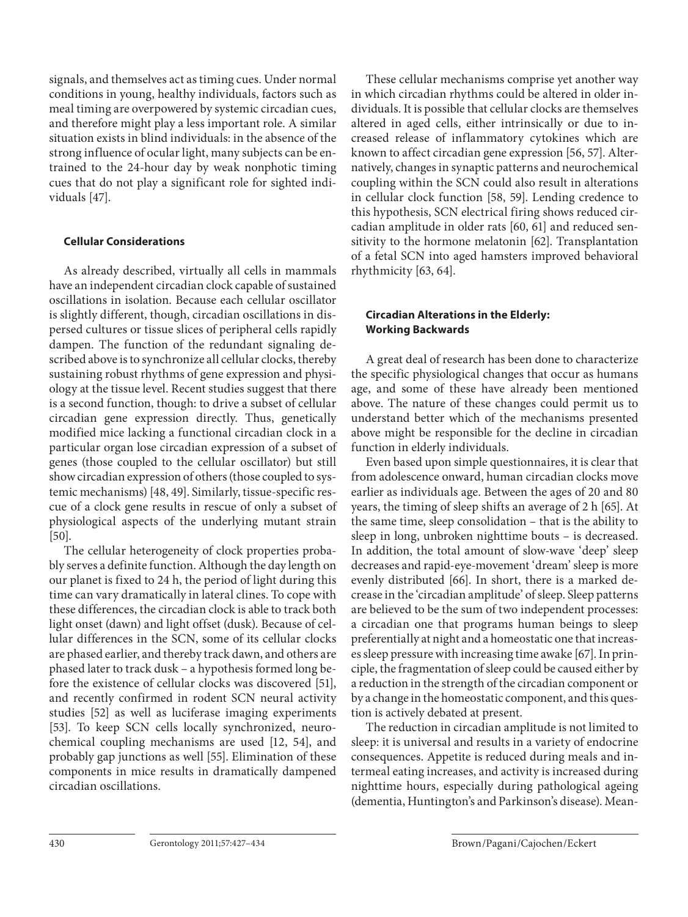signals, and themselves act as timing cues. Under normal conditions in young, healthy individuals, factors such as meal timing are overpowered by systemic circadian cues, and therefore might play a less important role. A similar situation exists in blind individuals: in the absence of the strong influence of ocular light, many subjects can be entrained to the 24-hour day by weak nonphotic timing cues that do not play a significant role for sighted individuals [47].

## **Cellular Considerations**

 As already described, virtually all cells in mammals have an independent circadian clock capable of sustained oscillations in isolation. Because each cellular oscillator is slightly different, though, circadian oscillations in dispersed cultures or tissue slices of peripheral cells rapidly dampen. The function of the redundant signaling described above is to synchronize all cellular clocks, thereby sustaining robust rhythms of gene expression and physiology at the tissue level. Recent studies suggest that there is a second function, though: to drive a subset of cellular circadian gene expression directly. Thus, genetically modified mice lacking a functional circadian clock in a particular organ lose circadian expression of a subset of genes (those coupled to the cellular oscillator) but still show circadian expression of others (those coupled to systemic mechanisms) [48, 49]. Similarly, tissue-specific rescue of a clock gene results in rescue of only a subset of physiological aspects of the underlying mutant strain  $[50]$ .

 The cellular heterogeneity of clock properties probably serves a definite function. Although the day length on our planet is fixed to 24 h, the period of light during this time can vary dramatically in lateral clines. To cope with these differences, the circadian clock is able to track both light onset (dawn) and light offset (dusk). Because of cellular differences in the SCN, some of its cellular clocks are phased earlier, and thereby track dawn, and others are phased later to track dusk – a hypothesis formed long before the existence of cellular clocks was discovered [51], and recently confirmed in rodent SCN neural activity studies [52] as well as luciferase imaging experiments [53]. To keep SCN cells locally synchronized, neurochemical coupling mechanisms are used [12, 54], and probably gap junctions as well [55] . Elimination of these components in mice results in dramatically dampened circadian oscillations.

 These cellular mechanisms comprise yet another way in which circadian rhythms could be altered in older individuals. It is possible that cellular clocks are themselves altered in aged cells, either intrinsically or due to increased release of inflammatory cytokines which are known to affect circadian gene expression [56, 57] . Alternatively, changes in synaptic patterns and neurochemical coupling within the SCN could also result in alterations in cellular clock function [58, 59]. Lending credence to this hypothesis, SCN electrical firing shows reduced circadian amplitude in older rats [60, 61] and reduced sensitivity to the hormone melatonin [62]. Transplantation of a fetal SCN into aged hamsters improved behavioral rhythmicity [63, 64].

# **Circadian Alterations in the Elderly: Working Backwards**

 A great deal of research has been done to characterize the specific physiological changes that occur as humans age, and some of these have already been mentioned above. The nature of these changes could permit us to understand better which of the mechanisms presented above might be responsible for the decline in circadian function in elderly individuals.

 Even based upon simple questionnaires, it is clear that from adolescence onward, human circadian clocks move earlier as individuals age. Between the ages of 20 and 80 years, the timing of sleep shifts an average of 2 h [65]. At the same time, sleep consolidation – that is the ability to sleep in long, unbroken nighttime bouts – is decreased. In addition, the total amount of slow-wave 'deep' sleep decreases and rapid-eye-movement 'dream' sleep is more evenly distributed [66]. In short, there is a marked decrease in the 'circadian amplitude' of sleep. Sleep patterns are believed to be the sum of two independent processes: a circadian one that programs human beings to sleep preferentially at night and a homeostatic one that increases sleep pressure with increasing time awake [67] . In principle, the fragmentation of sleep could be caused either by a reduction in the strength of the circadian component or by a change in the homeostatic component, and this question is actively debated at present.

 The reduction in circadian amplitude is not limited to sleep: it is universal and results in a variety of endocrine consequences. Appetite is reduced during meals and intermeal eating increases, and activity is increased during nighttime hours, especially during pathological ageing (dementia, Huntington's and Parkinson's disease). Mean-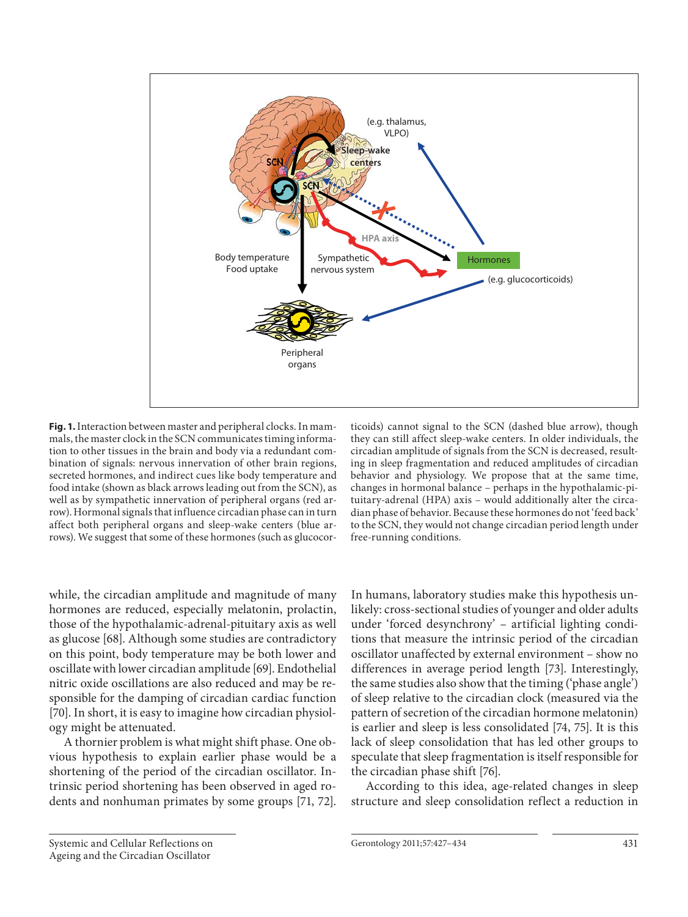

**Fig. 1.** Interaction between master and peripheral clocks. In mammals, the master clock in the SCN communicates timing information to other tissues in the brain and body via a redundant combination of signals: nervous innervation of other brain regions, secreted hormones, and indirect cues like body temperature and food intake (shown as black arrows leading out from the SCN), as well as by sympathetic innervation of peripheral organs (red arrow). Hormonal signals that influence circadian phase can in turn affect both peripheral organs and sleep-wake centers (blue arrows). We suggest that some of these hormones (such as glucocor-

ticoids) cannot signal to the SCN (dashed blue arrow), though they can still affect sleep-wake centers. In older individuals, the circadian amplitude of signals from the SCN is decreased, resulting in sleep fragmentation and reduced amplitudes of circadian behavior and physiology. We propose that at the same time, changes in hormonal balance – perhaps in the hypothalamic-pituitary-adrenal (HPA) axis – would additionally alter the circadian phase of behavior. Because these hormones do not 'feed back' to the SCN, they would not change circadian period length under free-running conditions.

while, the circadian amplitude and magnitude of many hormones are reduced, especially melatonin, prolactin, those of the hypothalamic-adrenal-pituitary axis as well as glucose [68]. Although some studies are contradictory on this point, body temperature may be both lower and oscillate with lower circadian amplitude [69] . Endothelial nitric oxide oscillations are also reduced and may be responsible for the damping of circadian cardiac function [70]. In short, it is easy to imagine how circadian physiology might be attenuated.

 A thornier problem is what might shift phase. One obvious hypothesis to explain earlier phase would be a shortening of the period of the circadian oscillator. Intrinsic period shortening has been observed in aged rodents and nonhuman primates by some groups [71, 72] . In humans, laboratory studies make this hypothesis unlikely: cross-sectional studies of younger and older adults under 'forced desynchrony' – artificial lighting conditions that measure the intrinsic period of the circadian oscillator unaffected by external environment – show no differences in average period length [73]. Interestingly, the same studies also show that the timing ('phase angle') of sleep relative to the circadian clock (measured via the pattern of secretion of the circadian hormone melatonin) is earlier and sleep is less consolidated [74, 75]. It is this lack of sleep consolidation that has led other groups to speculate that sleep fragmentation is itself responsible for the circadian phase shift [76].

 According to this idea, age-related changes in sleep structure and sleep consolidation reflect a reduction in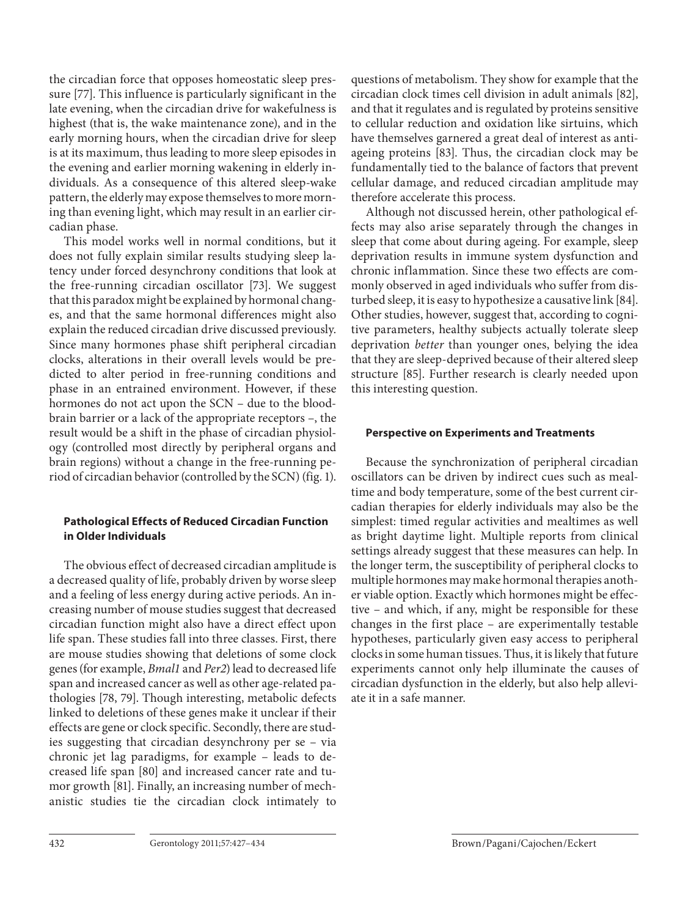the circadian force that opposes homeostatic sleep pressure [77]. This influence is particularly significant in the late evening, when the circadian drive for wakefulness is highest (that is, the wake maintenance zone), and in the early morning hours, when the circadian drive for sleep is at its maximum, thus leading to more sleep episodes in the evening and earlier morning wakening in elderly individuals. As a consequence of this altered sleep-wake pattern, the elderly may expose themselves to more morning than evening light, which may result in an earlier circadian phase.

 This model works well in normal conditions, but it does not fully explain similar results studying sleep latency under forced desynchrony conditions that look at the free-running circadian oscillator [73]. We suggest that this paradox might be explained by hormonal changes, and that the same hormonal differences might also explain the reduced circadian drive discussed previously. Since many hormones phase shift peripheral circadian clocks, alterations in their overall levels would be predicted to alter period in free-running conditions and phase in an entrained environment. However, if these hormones do not act upon the SCN – due to the bloodbrain barrier or a lack of the appropriate receptors –, the result would be a shift in the phase of circadian physiology (controlled most directly by peripheral organs and brain regions) without a change in the free-running period of circadian behavior (controlled by the SCN) (fig. 1).

# **Pathological Effects of Reduced Circadian Function in Older Individuals**

 The obvious effect of decreased circadian amplitude is a decreased quality of life, probably driven by worse sleep and a feeling of less energy during active periods. An increasing number of mouse studies suggest that decreased circadian function might also have a direct effect upon life span. These studies fall into three classes. First, there are mouse studies showing that deletions of some clock genes (for example, *Bmal1* and *Per2* ) lead to decreased life span and increased cancer as well as other age-related pathologies [78, 79]. Though interesting, metabolic defects linked to deletions of these genes make it unclear if their effects are gene or clock specific. Secondly, there are studies suggesting that circadian desynchrony per se – via chronic jet lag paradigms, for example – leads to decreased life span [80] and increased cancer rate and tumor growth [81]. Finally, an increasing number of mechanistic studies tie the circadian clock intimately to

questions of metabolism. They show for example that the circadian clock times cell division in adult animals [82] , and that it regulates and is regulated by proteins sensitive to cellular reduction and oxidation like sirtuins, which have themselves garnered a great deal of interest as antiageing proteins [83]. Thus, the circadian clock may be fundamentally tied to the balance of factors that prevent cellular damage, and reduced circadian amplitude may therefore accelerate this process.

 Although not discussed herein, other pathological effects may also arise separately through the changes in sleep that come about during ageing. For example, sleep deprivation results in immune system dysfunction and chronic inflammation. Since these two effects are commonly observed in aged individuals who suffer from disturbed sleep, it is easy to hypothesize a causative link [84] . Other studies, however, suggest that, according to cognitive parameters, healthy subjects actually tolerate sleep deprivation *better* than younger ones, belying the idea that they are sleep-deprived because of their altered sleep structure [85]. Further research is clearly needed upon this interesting question.

## **Perspective on Experiments and Treatments**

 Because the synchronization of peripheral circadian oscillators can be driven by indirect cues such as mealtime and body temperature, some of the best current circadian therapies for elderly individuals may also be the simplest: timed regular activities and mealtimes as well as bright daytime light. Multiple reports from clinical settings already suggest that these measures can help. In the longer term, the susceptibility of peripheral clocks to multiple hormones may make hormonal therapies another viable option. Exactly which hormones might be effective – and which, if any, might be responsible for these changes in the first place – are experimentally testable hypotheses, particularly given easy access to peripheral clocks in some human tissues. Thus, it is likely that future experiments cannot only help illuminate the causes of circadian dysfunction in the elderly, but also help alleviate it in a safe manner.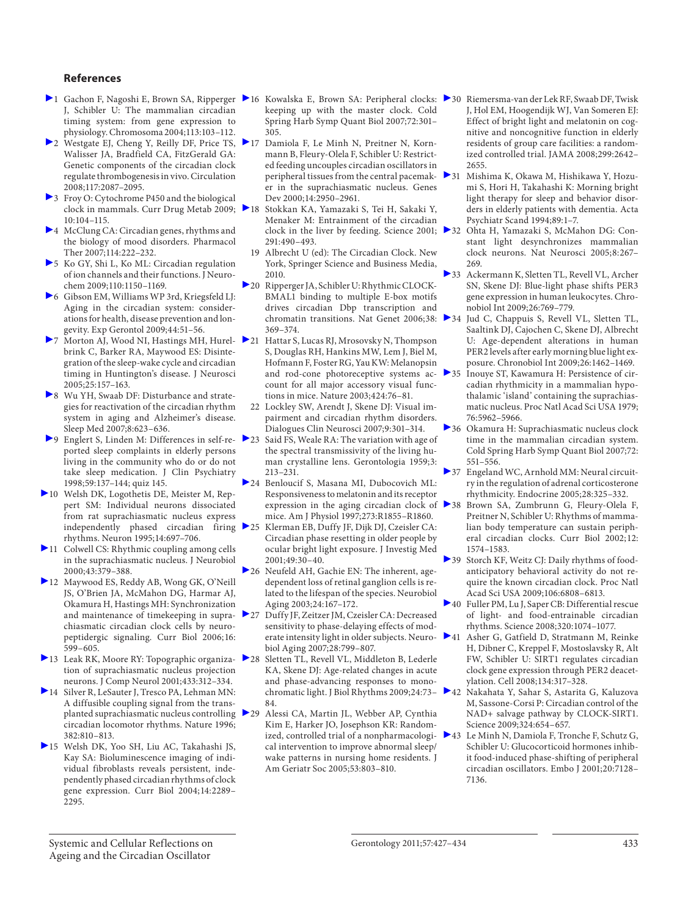#### **References**

- J, Schibler U: The mammalian circadian timing system: from gene expression to physiology. Chromosoma 2004;113:103–112.
- Walisser JA, Bradfield CA, FitzGerald GA: Genetic components of the circadian clock regulate thrombogenesis in vivo. Circulation 2008;117:2087–2095.
- 3 Froy O: Cytochrome P450 and the biological clock in mammals. Curr Drug Metab 2009; 218 10:104–115.
- <sup>2</sup>4 McClung CA: Circadian genes, rhythms and the biology of mood disorders. Pharmacol Ther 2007;114:222–232.
- 5 Ko GY, Shi L, Ko ML: Circadian regulation of ion channels and their functions. J Neurochem 2009;110:1150–1169.
- 6 Gibson EM, Williams WP 3rd, Kriegsfeld LJ: Aging in the circadian system: considerations for health, disease prevention and longevity. Exp Gerontol 2009;44:51–56.
- ▶ 7 Morton AJ, Wood NI, Hastings MH, Hurel- ▶ 21 brink C, Barker RA, Maywood ES: Disintegration of the sleep-wake cycle and circadian timing in Huntington's disease. J Neurosci 2005;25:157–163.
- 8 Wu YH, Swaab DF: Disturbance and strategies for reactivation of the circadian rhythm system in aging and Alzheimer's disease. Sleep Med 2007;8:623–636.
- 9 Englert S, Linden M: Differences in self-reported sleep complaints in elderly persons living in the community who do or do not take sleep medication. J Clin Psychiatry 1998;59:137–144; quiz 145.
- 10 Welsh DK, Logothetis DE, Meister M, Reppert SM: Individual neurons dissociated from rat suprachiasmatic nucleus express independently phased circadian firing  $\geq 25$ rhythms. Neuron 1995;14:697–706.
- 11 Colwell CS: Rhythmic coupling among cells in the suprachiasmatic nucleus. J Neurobiol 2000;43:379–388.
- 12 Maywood ES, Reddy AB, Wong GK, O'Neill JS, O'Brien JA, McMahon DG, Harmar AJ, Okamura H, Hastings MH: Synchronization and maintenance of timekeeping in suprachiasmatic circadian clock cells by neuropeptidergic signaling. Curr Biol 2006;16: 599–605.
- 13 Leak RK, Moore RY: Topographic organization of suprachiasmatic nucleus projection neurons. J Comp Neurol 2001;433:312–334.
- 14 Silver R, LeSauter J, Tresco PA, Lehman MN: A diffusible coupling signal from the transplanted suprachiasmatic nucleus controlling 29 circadian locomotor rhythms. Nature 1996; 382:810–813.
- 15 Welsh DK, Yoo SH, Liu AC, Takahashi JS, Kay SA: Bioluminescence imaging of individual fibroblasts reveals persistent, independently phased circadian rhythms of clock gene expression. Curr Biol 2004;14:2289– 2295.
- 1 Gachon F, Nagoshi E, Brown SA, Ripperger 16 Kowalska E, Brown SA: Peripheral clocks: 30 Riemersma-van der Lek RF, Swaab DF, Twisk keeping up with the master clock. Cold Spring Harb Symp Quant Biol 2007;72:301– 305.
- ►2 Westgate EJ, Cheng Y, Reilly DF, Price TS, ►17 Damiola F, Le Minh N, Preitner N, Kornmann B, Fleury-Olela F, Schibler U: Restricted feeding uncouples circadian oscillators in peripheral tissues from the central pacemaker in the suprachiasmatic nucleus. Genes Dev 2000;14:2950–2961.
	- 18 Stokkan KA, Yamazaki S, Tei H, Sakaki Y, Menaker M: Entrainment of the circadian clock in the liver by feeding. Science 2001;  $\triangleright$  32 291:490–493.
	- 19 Albrecht U (ed): The Circadian Clock. New York, Springer Science and Business Media, 2010.
	- 20 Ripperger JA, Schibler U: Rhythmic CLOCK-BMAL1 binding to multiple E-box motifs drives circadian Dbp transcription and chromatin transitions. Nat Genet 2006;38: > 34 369–374.
	- Hattar S, Lucas RJ, Mrosovsky N, Thompson S, Douglas RH, Hankins MW, Lem J, Biel M, Hofmann F, Foster RG, Yau KW: Melanopsin and rod-cone photoreceptive systems account for all major accessory visual functions in mice. Nature 2003;424:76–81.
	- 22 Lockley SW, Arendt J, Skene DJ: Visual impairment and circadian rhythm disorders. Dialogues Clin Neurosci 2007;9:301–314.
	- 23 Said FS, Weale RA: The variation with age of the spectral transmissivity of the living human crystalline lens. Gerontologia 1959;3: 213–231.
	- 24 Benloucif S, Masana MI, Dubocovich ML: Responsiveness to melatonin and its receptor expression in the aging circadian clock of  $\triangleright$  38 mice. Am J Physiol 1997;273:R1855–R1860.
	- 25 Klerman EB, Duffy JF, Dijk DJ, Czeisler CA: Circadian phase resetting in older people by ocular bright light exposure. J Investig Med 2001;49:30–40.
	- 26 Neufeld AH, Gachie EN: The inherent, agedependent loss of retinal ganglion cells is related to the lifespan of the species. Neurobiol Aging 2003;24:167–172.
	- 27 Duffy JF, Zeitzer JM, Czeisler CA: Decreased sensitivity to phase-delaying effects of moderate intensity light in older subjects. Neurobiol Aging 2007;28:799–807.
	- 28 Sletten TL, Revell VL, Middleton B, Lederle KA, Skene DJ: Age-related changes in acute and phase-advancing responses to monochromatic light. J Biol Rhythms 2009;24:73– 84.
		- 29 Alessi CA, Martin JL, Webber AP, Cynthia Kim E, Harker JO, Josephson KR: Randomized, controlled trial of a nonpharmacological intervention to improve abnormal sleep/ wake patterns in nursing home residents. J Am Geriatr Soc 2005;53:803–810.
- J, Hol EM, Hoogendijk WJ, Van Someren EJ: Effect of bright light and melatonin on cognitive and noncognitive function in elderly residents of group care facilities: a randomized controlled trial. JAMA 2008;299:2642– 2655.
- 31 Mishima K, Okawa M, Hishikawa Y, Hozumi S, Hori H, Takahashi K: Morning bright light therapy for sleep and behavior disorders in elderly patients with dementia. Acta Psychiatr Scand 1994;89:1–7.
- 32 Ohta H, Yamazaki S, McMahon DG: Constant light desynchronizes mammalian clock neurons. Nat Neurosci 2005;8:267– 269.
- 33 Ackermann K, Sletten TL, Revell VL, Archer SN, Skene DJ: Blue-light phase shifts PER3 gene expression in human leukocytes. Chronobiol Int 2009;26:769–779.
- Jud C, Chappuis S, Revell VL, Sletten TL, Saaltink DJ, Cajochen C, Skene DJ, Albrecht U: Age-dependent alterations in human PER2 levels after early morning blue light exposure. Chronobiol Int 2009;26:1462–1469.
- 35 Inouye ST, Kawamura H: Persistence of circadian rhythmicity in a mammalian hypothalamic 'island' containing the suprachiasmatic nucleus. Proc Natl Acad Sci USA 1979; 76:5962–5966.
- 36 Okamura H: Suprachiasmatic nucleus clock time in the mammalian circadian system. Cold Spring Harb Symp Quant Biol 2007;72: 551–556.
- 37 Engeland WC, Arnhold MM: Neural circuitry in the regulation of adrenal corticosterone rhythmicity. Endocrine 2005;28:325–332.
	- 38 Brown SA, Zumbrunn G, Fleury-Olela F, Preitner N, Schibler U: Rhythms of mammalian body temperature can sustain peripheral circadian clocks. Curr Biol 2002;12: 1574–1583.
- 39 Storch KF, Weitz CJ: Daily rhythms of foodanticipatory behavioral activity do not require the known circadian clock. Proc Natl Acad Sci USA 2009;106:6808–6813.
- 40 Fuller PM, Lu J, Saper CB: Differential rescue of light- and food-entrainable circadian rhythms. Science 2008;320:1074–1077.
- 41 Asher G, Gatfield D, Stratmann M, Reinke H, Dibner C, Kreppel F, Mostoslavsky R, Alt FW, Schibler U: SIRT1 regulates circadian clock gene expression through PER2 deacetylation. Cell 2008;134:317–328.
	- 42 Nakahata Y, Sahar S, Astarita G, Kaluzova M, Sassone-Corsi P: Circadian control of the NAD+ salvage pathway by CLOCK-SIRT1. Science 2009;324:654–657.
- 43 Le Minh N, Damiola F, Tronche F, Schutz G, Schibler U: Glucocorticoid hormones inhibit food-induced phase-shifting of peripheral circadian oscillators. Embo J 2001;20:7128– 7136.